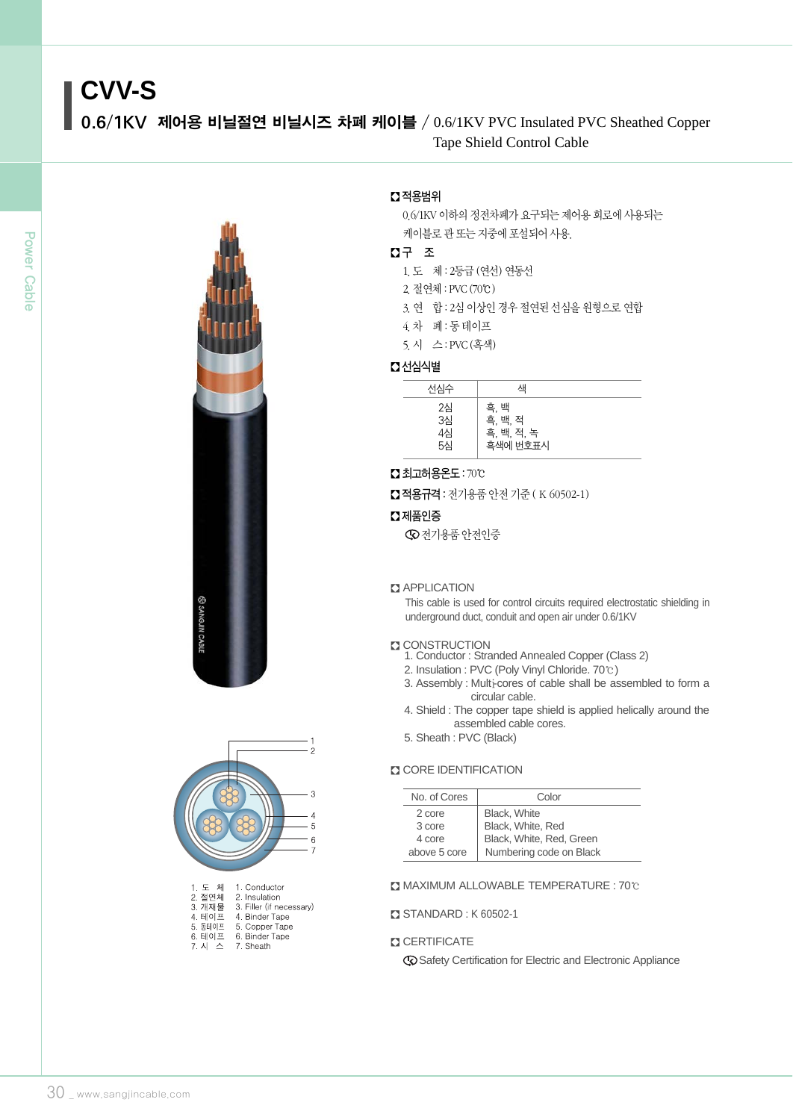# **CVV-S**

0.6/1KV 제어용 비닐절연 비닐시즈 차폐 케이블 / 0.6/1KV PVC Insulated PVC Sheathed Copper Tape Shield Control Cable





| 1. 노 제  | 1. Conductor             |
|---------|--------------------------|
| 2. 절연체  | 2. Insulation            |
| 3. 개재물  | 3. Filler (if necessary) |
| 4 테이프   | 4. Binder Tape           |
| 5. 동테이프 | 5. Copper Tape           |
| 6. 테이프  | 6. Binder Tape           |
| 7. 시 스  | 7. Sheath                |
|         |                          |

## � 적용범위

0.6/1KV 이하의 정전차폐가 요구되는 제어용 회로에 사용되는 케이블로 관 또는 지중에 포설되어 사용.

## � 구 조

1.도 체 : 2등급 (연선) 연동선

- 2.절연체 : PVC(70℃)
- 3. 연 합 : 2심 이상인 경우 절연된 선심을 원형으로 연합
- 4.차 폐 : 동 테이프
- 5.시 스 : PVC(흑색)

## � 선심식별

| 선심수                  | 색                                         |  |
|----------------------|-------------------------------------------|--|
| 2심<br>3심<br>4심<br>5심 | 흑, 백<br>흑, 백, 적<br>흑, 백, 적, 녹<br>흑색에 번호표시 |  |

#### � 최고허용온도: 70℃

■ 적용규격 : 전기용품 안전 기준 (K 60502-1)

#### $\Omega$  제품인증

전기용품 안전인증

#### **Z** APPLICATION

This cable is used for control circuits required electrostatic shielding in underground duct, conduit and open air under 0.6/1KV

#### **Z** CONSTRUCTION

- 1. Conductor : Stranded Annealed Copper (Class 2)
- 2. Insulation : PVC (Poly Vinyl Chloride. 70℃)
- 3. Assembly : Multi-cores of cable shall be assembled to form a circular cable.
- 4. Shield : The copper tape shield is applied helically around the assembled cable cores.
- 5. Sheath : PVC (Black)

#### **CORE IDENTIFICATION**

| No. of Cores | Color                    |  |  |  |
|--------------|--------------------------|--|--|--|
| 2 core       | Black, White             |  |  |  |
| 3 core       | Black, White, Red        |  |  |  |
| 4 core       | Black, White, Red, Green |  |  |  |
| above 5 core | Numbering code on Black  |  |  |  |

#### � MAXIMUM ALLOWABLE TEMPERATURE : 70℃

#### � STANDARD : K 60502-1

#### **CERTIFICATE**

Safety Certification for Electric and Electronic Appliance